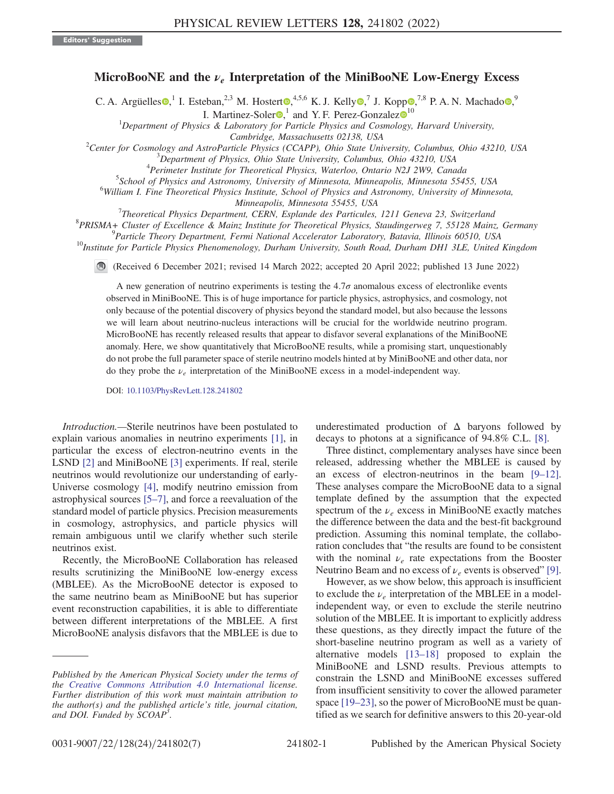## MicroBooNE and the  $\nu_e$  Interpretation of the MiniBooNE Low-Energy Excess

C. A. Argüelles  $\bullet$ ,<sup>1</sup> I. Esteban,<sup>2,3</sup> M. Hostert  $\bullet$ ,<sup>4,5,6</sup> K. J. Kelly  $\bullet$ ,<sup>7</sup> J. Kopp  $\bullet$ ,<sup>7,8</sup> P. A. N. Machado  $\bullet$ ,<sup>9</sup>

I. Martinez-Soler $\bullet$ ,<sup>[1](https://orcid.org/0000-0002-2020-7223)</sup> and Y. F. Perez-Gonzalez $\bullet$ <sup>10</sup>

<sup>1</sup>Department of Physics & Laboratory for Particle Physics and Cosmology, Harvard University,

Cambridge, Massachusetts 02138, USA<br><sup>2</sup>Center for Cosmology and AstroBarticle Physics (CCAPP), Obje State Uni

Center for Cosmology and AstroParticle Physics (CCAPP), Ohio State University, Columbus, Ohio 43210, USA<br><sup>3</sup>Denartment of Physics, Ohio State University, Columbus, Ohio 43210, USA

 $3$ Department of Physics, Ohio State University, Columbus, Ohio 43210, USA

<sup>4</sup>Perimeter Institute for Theoretical Physics, Waterloo, Ontario N2J 2W9, Canada

 $5$ School of Physics and Astronomy, University of Minnesota, Minneapolis, Minnesota 55455, USA

<sup>6</sup>William I. Fine Theoretical Physics Institute, School of Physics and Astronomy, University of Minnesota,

Minneapolis, Minnesota 55455, USA<br>Theoretical Physics Department CEPN, Explands des Particulas

 $T$ heoretical Physics Department, CERN, Esplande des Particules, 1211 Geneva 23, Switzerland<br><sup>8</sup> BRISMA L. Cluster of Excellence, f. Mainz Institute for Theoretical Physics, Staudingsmuse 7, 55128 Mains

 ${}^{8}$ PRISMA+ Cluster of Excellence & Mainz Institute for Theoretical Physics, Staudingerweg 7, 55128 Mainz, Germany  ${}^{9}$ Particle Theory Department, Fermi National Accelerator Laboratory, Batavia, Illinois 60510, USA

<sup>10</sup>Institute for Particle Physics Phenomenology, Durham University, South Road, Durham DH1 3LE, United Kingdom

(Received 6 December 2021; revised 14 March 2022; accepted 20 April 2022; published 13 June 2022)

A new generation of neutrino experiments is testing the  $4.7\sigma$  anomalous excess of electronlike events observed in MiniBooNE. This is of huge importance for particle physics, astrophysics, and cosmology, not only because of the potential discovery of physics beyond the standard model, but also because the lessons we will learn about neutrino-nucleus interactions will be crucial for the worldwide neutrino program. MicroBooNE has recently released results that appear to disfavor several explanations of the MiniBooNE anomaly. Here, we show quantitatively that MicroBooNE results, while a promising start, unquestionably do not probe the full parameter space of sterile neutrino models hinted at by MiniBooNE and other data, nor do they probe the  $\nu_e$  interpretation of the MiniBooNE excess in a model-independent way.

DOI: [10.1103/PhysRevLett.128.241802](https://doi.org/10.1103/PhysRevLett.128.241802)

Introduction.—Sterile neutrinos have been postulated to explain various anomalies in neutrino experiments [[1](#page-5-0)], in particular the excess of electron-neutrino events in the LSND [[2\]](#page-5-1) and MiniBooNE [\[3\]](#page-5-2) experiments. If real, sterile neutrinos would revolutionize our understanding of early-Universe cosmology [[4](#page-5-3)], modify neutrino emission from astrophysical sources [\[5](#page-5-4)–[7](#page-5-5)], and force a reevaluation of the standard model of particle physics. Precision measurements in cosmology, astrophysics, and particle physics will remain ambiguous until we clarify whether such sterile neutrinos exist.

Recently, the MicroBooNE Collaboration has released results scrutinizing the MiniBooNE low-energy excess (MBLEE). As the MicroBooNE detector is exposed to the same neutrino beam as MiniBooNE but has superior event reconstruction capabilities, it is able to differentiate between different interpretations of the MBLEE. A first MicroBooNE analysis disfavors that the MBLEE is due to underestimated production of  $\Delta$  baryons followed by decays to photons at a significance of 94.8% C.L. [[8](#page-5-6)].

Three distinct, complementary analyses have since been released, addressing whether the MBLEE is caused by an excess of electron-neutrinos in the beam [\[9](#page-5-7)–[12](#page-5-8)]. These analyses compare the MicroBooNE data to a signal template defined by the assumption that the expected spectrum of the  $\nu_e$  excess in MiniBooNE exactly matches the difference between the data and the best-fit background prediction. Assuming this nominal template, the collaboration concludes that "the results are found to be consistent with the nominal  $\nu_e$  rate expectations from the Booster Neutrino Beam and no excess of  $\nu_e$  events is observed" [[9](#page-5-7)].

However, as we show below, this approach is insufficient to exclude the  $\nu_e$  interpretation of the MBLEE in a modelindependent way, or even to exclude the sterile neutrino solution of the MBLEE. It is important to explicitly address these questions, as they directly impact the future of the short-baseline neutrino program as well as a variety of alternative models [\[13](#page-5-9)–[18](#page-5-10)] proposed to explain the MiniBooNE and LSND results. Previous attempts to constrain the LSND and MiniBooNE excesses suffered from insufficient sensitivity to cover the allowed parameter space [[19](#page-5-11)–[23\]](#page-5-12), so the power of MicroBooNE must be quantified as we search for definitive answers to this 20-year-old

Published by the American Physical Society under the terms of the [Creative Commons Attribution 4.0 International](https://creativecommons.org/licenses/by/4.0/) license. Further distribution of this work must maintain attribution to the author(s) and the published article's title, journal citation, and DOI. Funded by SCOAP<sup>3</sup>.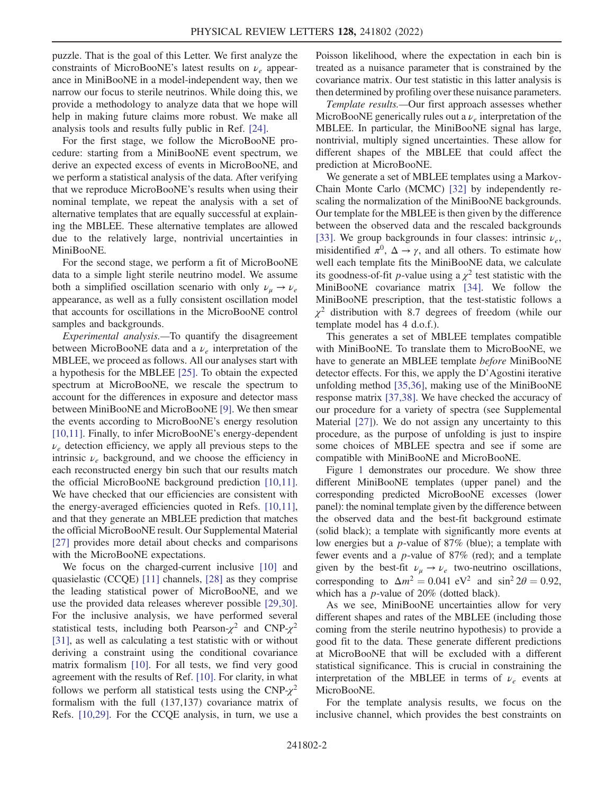puzzle. That is the goal of this Letter. We first analyze the constraints of MicroBooNE's latest results on  $\nu_e$  appearance in MiniBooNE in a model-independent way, then we narrow our focus to sterile neutrinos. While doing this, we provide a methodology to analyze data that we hope will help in making future claims more robust. We make all analysis tools and results fully public in Ref. [[24](#page-5-13)].

For the first stage, we follow the MicroBooNE procedure: starting from a MiniBooNE event spectrum, we derive an expected excess of events in MicroBooNE, and we perform a statistical analysis of the data. After verifying that we reproduce MicroBooNE's results when using their nominal template, we repeat the analysis with a set of alternative templates that are equally successful at explaining the MBLEE. These alternative templates are allowed due to the relatively large, nontrivial uncertainties in MiniBooNE.

For the second stage, we perform a fit of MicroBooNE data to a simple light sterile neutrino model. We assume both a simplified oscillation scenario with only  $\nu_{\mu} \rightarrow \nu_{e}$ appearance, as well as a fully consistent oscillation model that accounts for oscillations in the MicroBooNE control samples and backgrounds.

Experimental analysis.—To quantify the disagreement between MicroBooNE data and a  $\nu_e$  interpretation of the MBLEE, we proceed as follows. All our analyses start with a hypothesis for the MBLEE [\[25\]](#page-5-14). To obtain the expected spectrum at MicroBooNE, we rescale the spectrum to account for the differences in exposure and detector mass between MiniBooNE and MicroBooNE [[9\]](#page-5-7). We then smear the events according to MicroBooNE's energy resolution [\[10](#page-5-15)[,11\]](#page-5-16). Finally, to infer MicroBooNE's energy-dependent  $\nu_e$  detection efficiency, we apply all previous steps to the intrinsic  $\nu_e$  background, and we choose the efficiency in each reconstructed energy bin such that our results match the official MicroBooNE background prediction [\[10,](#page-5-15)[11](#page-5-16)]. We have checked that our efficiencies are consistent with the energy-averaged efficiencies quoted in Refs. [\[10,](#page-5-15)[11](#page-5-16)], and that they generate an MBLEE prediction that matches the official MicroBooNE result. Our Supplemental Material [\[27\]](#page-5-17) provides more detail about checks and comparisons with the MicroBooNE expectations.

We focus on the charged-current inclusive [\[10\]](#page-5-15) and quasielastic (CCQE) [\[11\]](#page-5-16) channels, [\[28\]](#page-5-18) as they comprise the leading statistical power of MicroBooNE, and we use the provided data releases wherever possible [\[29,](#page-5-19)[30](#page-5-20)]. For the inclusive analysis, we have performed several statistical tests, including both Pearson- $\chi^2$  and CNP- $\chi^2$ [\[31\]](#page-5-21), as well as calculating a test statistic with or without deriving a constraint using the conditional covariance matrix formalism [\[10\]](#page-5-15). For all tests, we find very good agreement with the results of Ref. [[10](#page-5-15)]. For clarity, in what follows we perform all statistical tests using the  $CNP-\chi^2$ formalism with the full (137,137) covariance matrix of Refs. [[10](#page-5-15),[29](#page-5-19)]. For the CCQE analysis, in turn, we use a Poisson likelihood, where the expectation in each bin is treated as a nuisance parameter that is constrained by the covariance matrix. Our test statistic in this latter analysis is then determined by profiling over these nuisance parameters.

Template results.—Our first approach assesses whether MicroBooNE generically rules out a  $\nu_e$  interpretation of the MBLEE. In particular, the MiniBooNE signal has large, nontrivial, multiply signed uncertainties. These allow for different shapes of the MBLEE that could affect the prediction at MicroBooNE.

We generate a set of MBLEE templates using a Markov-Chain Monte Carlo (MCMC) [\[32\]](#page-5-22) by independently rescaling the normalization of the MiniBooNE backgrounds. Our template for the MBLEE is then given by the difference between the observed data and the rescaled backgrounds [\[33\]](#page-5-23). We group backgrounds in four classes: intrinsic  $\nu_e$ , misidentified  $\pi^0$ ,  $\Delta \rightarrow \gamma$ , and all others. To estimate how well each template fits the MiniBooNE data, we calculate its goodness-of-fit *p*-value using a  $\chi^2$  test statistic with the MiniBooNE covariance matrix [[34](#page-5-24)]. We follow the MiniBooNE prescription, that the test-statistic follows a  $\chi^2$  distribution with 8.7 degrees of freedom (while our template model has 4 d.o.f.).

This generates a set of MBLEE templates compatible with MiniBooNE. To translate them to MicroBooNE, we have to generate an MBLEE template *before* MiniBooNE detector effects. For this, we apply the D'Agostini iterative unfolding method [[35](#page-5-25),[36](#page-5-26)], making use of the MiniBooNE response matrix [[37](#page-5-27),[38](#page-5-28)]. We have checked the accuracy of our procedure for a variety of spectra (see Supplemental Material [[27](#page-5-17)]). We do not assign any uncertainty to this procedure, as the purpose of unfolding is just to inspire some choices of MBLEE spectra and see if some are compatible with MiniBooNE and MicroBooNE.

Figure [1](#page-2-0) demonstrates our procedure. We show three different MiniBooNE templates (upper panel) and the corresponding predicted MicroBooNE excesses (lower panel): the nominal template given by the difference between the observed data and the best-fit background estimate (solid black); a template with significantly more events at low energies but a p-value of 87% (blue); a template with fewer events and a p-value of 87% (red); and a template given by the best-fit  $\nu_{\mu} \rightarrow \nu_{e}$  two-neutrino oscillations, corresponding to  $\Delta m^2 = 0.041 \text{ eV}^2$  and  $\sin^2 2\theta = 0.92$ , which has a *p*-value of 20% (dotted black).

As we see, MiniBooNE uncertainties allow for very different shapes and rates of the MBLEE (including those coming from the sterile neutrino hypothesis) to provide a good fit to the data. These generate different predictions at MicroBooNE that will be excluded with a different statistical significance. This is crucial in constraining the interpretation of the MBLEE in terms of  $\nu_e$  events at MicroBooNE.

For the template analysis results, we focus on the inclusive channel, which provides the best constraints on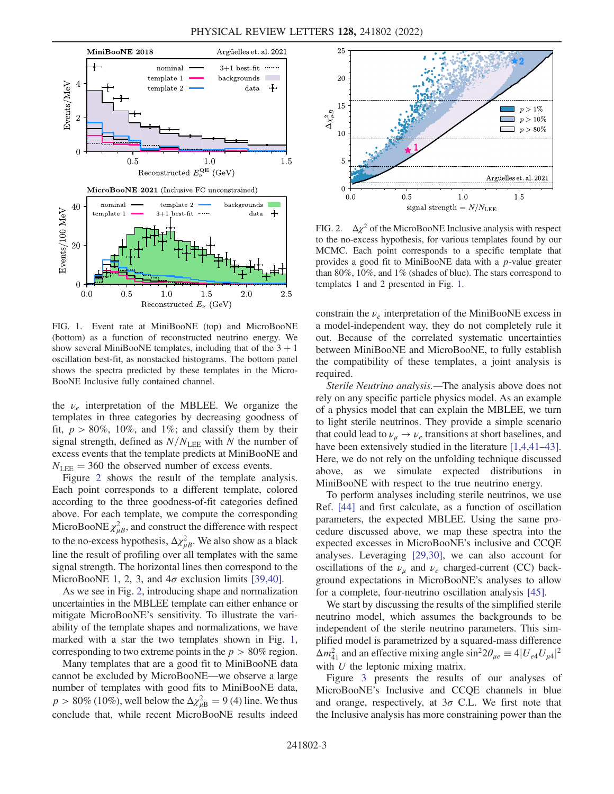<span id="page-2-0"></span>

FIG. 1. Event rate at MiniBooNE (top) and MicroBooNE (bottom) as a function of reconstructed neutrino energy. We show several MiniBooNE templates, including that of the  $3 + 1$ oscillation best-fit, as nonstacked histograms. The bottom panel shows the spectra predicted by these templates in the Micro-BooNE Inclusive fully contained channel.

the  $\nu_e$  interpretation of the MBLEE. We organize the templates in three categories by decreasing goodness of fit,  $p > 80\%$ , 10%, and 1%; and classify them by their signal strength, defined as  $N/N_{\text{LEE}}$  with N the number of excess events that the template predicts at MiniBooNE and  $N_{\text{LEE}} = 360$  the observed number of excess events.

Figure [2](#page-2-1) shows the result of the template analysis. Each point corresponds to a different template, colored according to the three goodness-of-fit categories defined above. For each template, we compute the corresponding MicroBooNE  $\chi^2_{\mu}$ , and construct the difference with respect to the no-excess hypothesis,  $\Delta \chi^2_{\mu}$ . We also show as a black line the result of profiling over all templates with the same signal strength. The horizontal lines then correspond to the MicroBooNE 1, 2, 3, and  $4\sigma$  exclusion limits [\[39,](#page-5-29)[40\]](#page-5-30).

As we see in Fig. [2,](#page-2-1) introducing shape and normalization uncertainties in the MBLEE template can either enhance or mitigate MicroBooNE's sensitivity. To illustrate the variability of the template shapes and normalizations, we have marked with a star the two templates shown in Fig. [1](#page-2-0), corresponding to two extreme points in the  $p > 80\%$  region.

Many templates that are a good fit to MiniBooNE data cannot be excluded by MicroBooNE—we observe a large number of templates with good fits to MiniBooNE data,  $p > 80\%$  (10%), well below the  $\Delta \chi^2_{\mu B} = 9$  (4) line. We thus conclude that, while recent MicroBooNE results indeed

<span id="page-2-1"></span>

FIG. 2.  $\Delta \chi^2$  of the MicroBooNE Inclusive analysis with respect to the no-excess hypothesis, for various templates found by our MCMC. Each point corresponds to a specific template that provides a good fit to MiniBooNE data with a p-value greater than 80%, 10%, and 1% (shades of blue). The stars correspond to templates 1 and 2 presented in Fig. [1.](#page-2-0)

constrain the  $\nu_e$  interpretation of the MiniBooNE excess in a model-independent way, they do not completely rule it out. Because of the correlated systematic uncertainties between MiniBooNE and MicroBooNE, to fully establish the compatibility of these templates, a joint analysis is required.

Sterile Neutrino analysis.—The analysis above does not rely on any specific particle physics model. As an example of a physics model that can explain the MBLEE, we turn to light sterile neutrinos. They provide a simple scenario that could lead to  $\nu_{\mu} \rightarrow \nu_{e}$  transitions at short baselines, and have been extensively studied in the literature [\[1](#page-5-0),[4](#page-5-3),[41](#page-5-31)–[43](#page-5-32)]. Here, we do not rely on the unfolding technique discussed above, as we simulate expected distributions in MiniBooNE with respect to the true neutrino energy.

To perform analyses including sterile neutrinos, we use Ref. [\[44\]](#page-5-33) and first calculate, as a function of oscillation parameters, the expected MBLEE. Using the same procedure discussed above, we map these spectra into the expected excesses in MicroBooNE's inclusive and CCQE analyses. Leveraging [\[29,](#page-5-19)[30](#page-5-20)], we can also account for oscillations of the  $\nu_{\mu}$  and  $\nu_{e}$  charged-current (CC) background expectations in MicroBooNE's analyses to allow for a complete, four-neutrino oscillation analysis [\[45\]](#page-5-34).

We start by discussing the results of the simplified sterile neutrino model, which assumes the backgrounds to be independent of the sterile neutrino parameters. This simplified model is parametrized by a squared-mass difference  $\Delta m_{41}^2$  and an effective mixing angle  $\sin^2 2\theta_{\mu e} \equiv 4|U_{e4}U_{\mu 4}|^2$ with  $U$  the leptonic mixing matrix.

Figure [3](#page-3-0) presents the results of our analyses of MicroBooNE's Inclusive and CCQE channels in blue and orange, respectively, at  $3\sigma$  C.L. We first note that the Inclusive analysis has more constraining power than the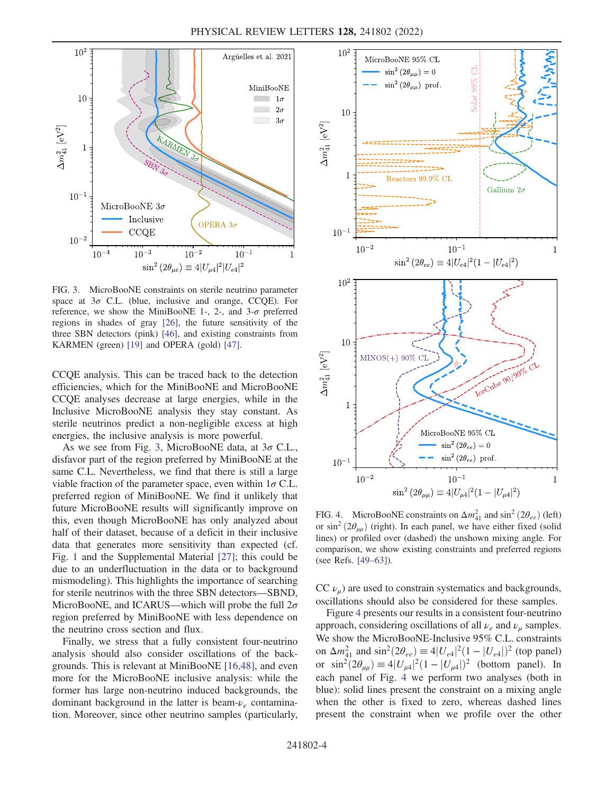<span id="page-3-0"></span>

FIG. 3. MicroBooNE constraints on sterile neutrino parameter space at  $3\sigma$  C.L. (blue, inclusive and orange, CCQE). For reference, we show the MiniBooNE 1-, 2-, and  $3-\sigma$  preferred regions in shades of gray [\[26\]](#page-5-37), the future sensitivity of the three SBN detectors (pink) [\[46\]](#page-5-38), and existing constraints from KARMEN (green) [[19](#page-5-11)] and OPERA (gold) [\[47\]](#page-5-39).

CCQE analysis. This can be traced back to the detection efficiencies, which for the MiniBooNE and MicroBooNE CCQE analyses decrease at large energies, while in the Inclusive MicroBooNE analysis they stay constant. As sterile neutrinos predict a non-negligible excess at high energies, the inclusive analysis is more powerful.

As we see from Fig. [3,](#page-3-0) MicroBooNE data, at  $3\sigma$  C.L., disfavor part of the region preferred by MiniBooNE at the same C.L. Nevertheless, we find that there is still a large viable fraction of the parameter space, even within  $1\sigma$  C.L. preferred region of MiniBooNE. We find it unlikely that future MicroBooNE results will significantly improve on this, even though MicroBooNE has only analyzed about half of their dataset, because of a deficit in their inclusive data that generates more sensitivity than expected (cf. Fig. [1](#page-2-0) and the Supplemental Material [[27](#page-5-17)]; this could be due to an underfluctuation in the data or to background mismodeling). This highlights the importance of searching for sterile neutrinos with the three SBN detectors—SBND, MicroBooNE, and ICARUS—which will probe the full  $2\sigma$ region preferred by MiniBooNE with less dependence on the neutrino cross section and flux.

Finally, we stress that a fully consistent four-neutrino analysis should also consider oscillations of the backgrounds. This is relevant at MiniBooNE [[16](#page-5-35)[,48\]](#page-5-36), and even more for the MicroBooNE inclusive analysis: while the former has large non-neutrino induced backgrounds, the dominant background in the latter is beam- $\nu_e$  contamination. Moreover, since other neutrino samples (particularly,

<span id="page-3-1"></span>

FIG. 4. MicroBooNE constraints on  $\Delta m_{41}^2$  and  $\sin^2(2\theta_{ee})$  (left) or sin<sup>2</sup> ( $2\theta_{\mu\mu}$ ) (right). In each panel, we have either fixed (solid lines) or profiled over (dashed) the unshown mixing angle. For comparison, we show existing constraints and preferred regions (see Refs. [\[49](#page-5-40)–[63](#page-6-0)]).

CC  $\nu_{\mu}$ ) are used to constrain systematics and backgrounds, oscillations should also be considered for these samples.

Figure [4](#page-3-1) presents our results in a consistent four-neutrino approach, considering oscillations of all  $\nu_e$  and  $\nu_u$  samples. We show the MicroBooNE-Inclusive 95% C.L. constraints on  $\Delta m_{41}^2$  and  $\sin^2(2\theta_{ee}) = 4|U_{e4}|^2(1 - |U_{e4}|)^2$  (top panel) or  $\sin^2(2\theta_{\mu\mu}) \equiv 4|U_{\mu4}|^2(1 - |U_{\mu4}|)^2$  (bottom panel). In each panel of Fig. [4](#page-3-1) we perform two analyses (both in blue): solid lines present the constraint on a mixing angle when the other is fixed to zero, whereas dashed lines present the constraint when we profile over the other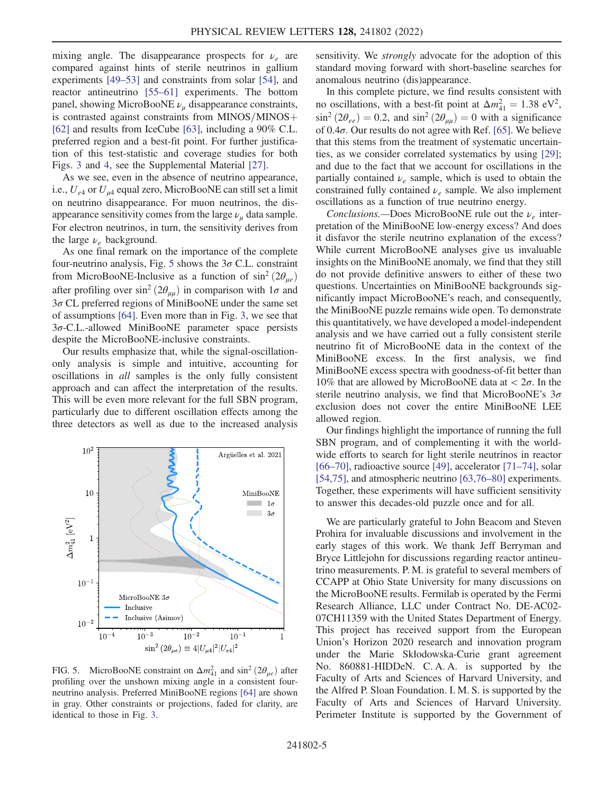mixing angle. The disappearance prospects for  $\nu_e$  are compared against hints of sterile neutrinos in gallium experiments [[49](#page-5-40)–[53\]](#page-6-1) and constraints from solar [[54](#page-6-2)], and reactor antineutrino [[55](#page-6-3)–[61](#page-6-4)] experiments. The bottom panel, showing MicroBooNE  $\nu_{\mu}$  disappearance constraints, is contrasted against constraints from  $MINOS/MINOS+$ [\[62\]](#page-6-5) and results from IceCube [[63](#page-6-0)], including a 90% C.L. preferred region and a best-fit point. For further justification of this test-statistic and coverage studies for both Figs. [3](#page-3-0) and [4](#page-3-1), see the Supplemental Material [\[27\]](#page-5-17).

As we see, even in the absence of neutrino appearance, i.e.,  $U_{e4}$  or  $U_{\mu 4}$  equal zero, MicroBooNE can still set a limit on neutrino disappearance. For muon neutrinos, the disappearance sensitivity comes from the large  $\nu_u$  data sample. For electron neutrinos, in turn, the sensitivity derives from the large  $\nu_e$  background.

As one final remark on the importance of the complete four-neutrino analysis, Fig. [5](#page-4-0) shows the  $3\sigma$  C.L. constraint from MicroBooNE-Inclusive as a function of  $\sin^2(2\theta_{\mu\rho})$ after profiling over  $\sin^2(2\theta_{\mu\mu})$  in comparison with  $1\sigma$  and  $3\sigma$  CL preferred regions of MiniBooNE under the same set of assumptions [\[64\]](#page-6-6). Even more than in Fig. [3](#page-3-0), we see that 3σ-C.L.-allowed MiniBooNE parameter space persists despite the MicroBooNE-inclusive constraints.

Our results emphasize that, while the signal-oscillationonly analysis is simple and intuitive, accounting for oscillations in all samples is the only fully consistent approach and can affect the interpretation of the results. This will be even more relevant for the full SBN program, particularly due to different oscillation effects among the three detectors as well as due to the increased analysis

<span id="page-4-0"></span>

FIG. 5. MicroBooNE constraint on  $\Delta m_{41}^2$  and  $\sin^2(2\theta_{\mu e})$  after profiling over the unshown mixing angle in a consistent fourneutrino analysis. Preferred MiniBooNE regions [[64](#page-6-6)] are shown in gray. Other constraints or projections, faded for clarity, are identical to those in Fig. [3](#page-3-0).

sensitivity. We *strongly* advocate for the adoption of this standard moving forward with short-baseline searches for anomalous neutrino (dis)appearance.

In this complete picture, we find results consistent with no oscillations, with a best-fit point at  $\Delta m_{41}^2 = 1.38 \text{ eV}^2$ ,  $\sin^2(2\theta_{ee}) = 0.2$ , and  $\sin^2(2\theta_{uu}) = 0$  with a significance of  $0.4\sigma$ . Our results do not agree with Ref. [\[65\]](#page-6-7). We believe that this stems from the treatment of systematic uncertainties, as we consider correlated systematics by using [\[29\]](#page-5-19); and due to the fact that we account for oscillations in the partially contained  $\nu_e$  sample, which is used to obtain the constrained fully contained  $\nu_e$  sample. We also implement oscillations as a function of true neutrino energy.

Conclusions.—Does MicroBooNE rule out the  $\nu_e$  interpretation of the MiniBooNE low-energy excess? And does it disfavor the sterile neutrino explanation of the excess? While current MicroBooNE analyses give us invaluable insights on the MiniBooNE anomaly, we find that they still do not provide definitive answers to either of these two questions. Uncertainties on MiniBooNE backgrounds significantly impact MicroBooNE's reach, and consequently, the MiniBooNE puzzle remains wide open. To demonstrate this quantitatively, we have developed a model-independent analysis and we have carried out a fully consistent sterile neutrino fit of MicroBooNE data in the context of the MiniBooNE excess. In the first analysis, we find MiniBooNE excess spectra with goodness-of-fit better than 10% that are allowed by MicroBooNE data at  $\langle 2\sigma$ . In the sterile neutrino analysis, we find that MicroBooNE's  $3\sigma$ exclusion does not cover the entire MiniBooNE LEE allowed region.

Our findings highlight the importance of running the full SBN program, and of complementing it with the worldwide efforts to search for light sterile neutrinos in reactor [\[66](#page-6-8)–[70\]](#page-6-9), radioactive source [[49](#page-5-40)], accelerator [\[71](#page-6-10)–[74](#page-6-11)], solar [\[54,](#page-6-2)[75](#page-6-12)], and atmospheric neutrino [[63](#page-6-0),[76](#page-6-13)–[80](#page-6-14)] experiments. Together, these experiments will have sufficient sensitivity to answer this decades-old puzzle once and for all.

We are particularly grateful to John Beacom and Steven Prohira for invaluable discussions and involvement in the early stages of this work. We thank Jeff Berryman and Bryce Littlejohn for discussions regarding reactor antineutrino measurements. P. M. is grateful to several members of CCAPP at Ohio State University for many discussions on the MicroBooNE results. Fermilab is operated by the Fermi Research Alliance, LLC under Contract No. DE-AC02- 07CH11359 with the United States Department of Energy. This project has received support from the European Union's Horizon 2020 research and innovation program under the Marie Skłodowska-Curie grant agreement No. 860881-HIDDeN. C. A. A. is supported by the Faculty of Arts and Sciences of Harvard University, and the Alfred P. Sloan Foundation. I. M. S. is supported by the Faculty of Arts and Sciences of Harvard University. Perimeter Institute is supported by the Government of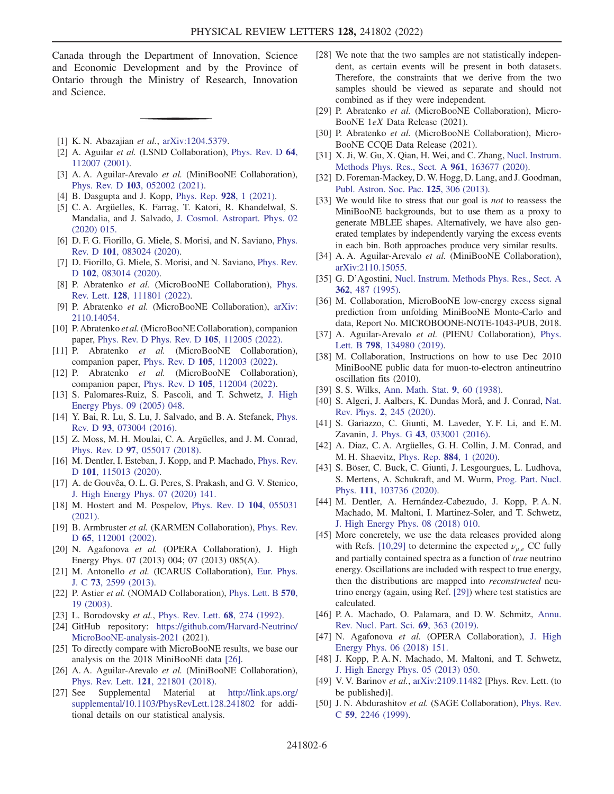Canada through the Department of Innovation, Science and Economic Development and by the Province of Ontario through the Ministry of Research, Innovation and Science.

- <span id="page-5-1"></span><span id="page-5-0"></span>[1] K. N. Abazajian et al., [arXiv:1204.5379.](https://arXiv.org/abs/1204.5379)
- <span id="page-5-2"></span>[2] A. Aguilar et al. (LSND Collaboration), [Phys. Rev. D](https://doi.org/10.1103/PhysRevD.64.112007) 64, [112007 \(2001\).](https://doi.org/10.1103/PhysRevD.64.112007)
- <span id="page-5-3"></span>[3] A. A. Aguilar-Arevalo et al. (MiniBooNE Collaboration), Phys. Rev. D 103[, 052002 \(2021\)](https://doi.org/10.1103/PhysRevD.103.052002).
- <span id="page-5-4"></span>[4] B. Dasgupta and J. Kopp, [Phys. Rep.](https://doi.org/10.1016/j.physrep.2021.06.002) 928, 1 (2021).
- [5] C. A. Argüelles, K. Farrag, T. Katori, R. Khandelwal, S. Mandalia, and J. Salvado, [J. Cosmol. Astropart. Phys. 02](https://doi.org/10.1088/1475-7516/2020/02/015) [\(2020\) 015.](https://doi.org/10.1088/1475-7516/2020/02/015)
- <span id="page-5-5"></span>[6] D. F. G. Fiorillo, G. Miele, S. Morisi, and N. Saviano, *[Phys.](https://doi.org/10.1103/PhysRevD.101.083024)* Rev. D 101[, 083024 \(2020\)](https://doi.org/10.1103/PhysRevD.101.083024).
- <span id="page-5-6"></span>[7] D. Fiorillo, G. Miele, S. Morisi, and N. Saviano, *[Phys. Rev.](https://doi.org/10.1103/PhysRevD.102.083014)* D 102[, 083014 \(2020\).](https://doi.org/10.1103/PhysRevD.102.083014)
- <span id="page-5-7"></span>[8] P. Abratenko et al. (MicroBooNE Collaboration), [Phys.](https://doi.org/10.1103/PhysRevLett.128.111801) Rev. Lett. 128[, 111801 \(2022\).](https://doi.org/10.1103/PhysRevLett.128.111801)
- <span id="page-5-15"></span>[9] P. Abratenko et al. (MicroBooNE Collaboration), [arXiv:](https://arXiv.org/abs/2110.14054) [2110.14054.](https://arXiv.org/abs/2110.14054)
- <span id="page-5-16"></span>[10] P. Abratenko et al. (MicroBooNE Collaboration), companion paper, [Phys. Rev. D Phys. Rev. D](https://doi.org/10.1103/PhysRevD.105.112005) 105, 112005 (2022).
- <span id="page-5-8"></span>[11] P. Abratenko et al. (MicroBooNE Collaboration), companion paper, Phys. Rev. D 105[, 112003 \(2022\).](https://doi.org/10.1103/PhysRevD.105.112003)
- <span id="page-5-9"></span>[12] P. Abratenko et al. (MicroBooNE Collaboration), companion paper, Phys. Rev. D 105[, 112004 \(2022\).](https://doi.org/10.1103/PhysRevD.105.112004)
- [13] S. Palomares-Ruiz, S. Pascoli, and T. Schwetz, [J. High](https://doi.org/10.1088/1126-6708/2005/09/048) [Energy Phys. 09 \(2005\) 048.](https://doi.org/10.1088/1126-6708/2005/09/048)
- [14] Y. Bai, R. Lu, S. Lu, J. Salvado, and B. A. Stefanek, [Phys.](https://doi.org/10.1103/PhysRevD.93.073004) Rev. D 93[, 073004 \(2016\)](https://doi.org/10.1103/PhysRevD.93.073004).
- <span id="page-5-35"></span>[15] Z. Moss, M. H. Moulai, C. A. Argüelles, and J. M. Conrad, Phys. Rev. D 97[, 055017 \(2018\)](https://doi.org/10.1103/PhysRevD.97.055017).
- [16] M. Dentler, I. Esteban, J. Kopp, and P. Machado, [Phys. Rev.](https://doi.org/10.1103/PhysRevD.101.115013) D 101[, 115013 \(2020\).](https://doi.org/10.1103/PhysRevD.101.115013)
- <span id="page-5-10"></span>[17] A. de Gouvêa, O. L. G. Peres, S. Prakash, and G. V. Stenico, [J. High Energy Phys. 07 \(2020\) 141.](https://doi.org/10.1007/JHEP07(2020)141)
- <span id="page-5-11"></span>[18] M. Hostert and M. Pospelov, [Phys. Rev. D](https://doi.org/10.1103/PhysRevD.104.055031) 104, 055031 [\(2021\).](https://doi.org/10.1103/PhysRevD.104.055031)
- [19] B. Armbruster et al. (KARMEN Collaboration), [Phys. Rev.](https://doi.org/10.1103/PhysRevD.65.112001) D 65[, 112001 \(2002\)](https://doi.org/10.1103/PhysRevD.65.112001).
- [20] N. Agafonova et al. (OPERA Collaboration), J. High Energy Phys. 07 (2013) 004; 07 (2013) 085(A).
- [21] M. Antonello et al. (ICARUS Collaboration), [Eur. Phys.](https://doi.org/10.1140/epjc/s10052-013-2599-z) J. C 73[, 2599 \(2013\)](https://doi.org/10.1140/epjc/s10052-013-2599-z).
- <span id="page-5-12"></span>[22] P. Astier et al. (NOMAD Collaboration), [Phys. Lett. B](https://doi.org/10.1016/j.physletb.2003.07.029) 570, [19 \(2003\).](https://doi.org/10.1016/j.physletb.2003.07.029)
- <span id="page-5-13"></span>[23] L. Borodovsky *et al.*, *[Phys. Rev. Lett.](https://doi.org/10.1103/PhysRevLett.68.274)* **68**, 274 (1992).
- <span id="page-5-14"></span>[24] GitHub repository: [https://github.com/Harvard-Neutrino/](https://github.com/Harvard-Neutrino/MicroBooNE-analysis-2021) [MicroBooNE-analysis-2021](https://github.com/Harvard-Neutrino/MicroBooNE-analysis-2021) (2021).
- <span id="page-5-37"></span>[25] To directly compare with MicroBooNE results, we base our analysis on the 2018 MiniBooNE data [[26](#page-5-37)].
- <span id="page-5-17"></span>[26] A. A. Aguilar-Arevalo et al. (MiniBooNE Collaboration), Phys. Rev. Lett. 121[, 221801 \(2018\).](https://doi.org/10.1103/PhysRevLett.121.221801)
- [27] See Supplemental Material at [http://link.aps.org/](http://link.aps.org/supplemental/10.1103/PhysRevLett.128.241802) [supplemental/10.1103/PhysRevLett.128.241802](http://link.aps.org/supplemental/10.1103/PhysRevLett.128.241802) for additional details on our statistical analysis.
- <span id="page-5-18"></span>[28] We note that the two samples are not statistically independent, as certain events will be present in both datasets. Therefore, the constraints that we derive from the two samples should be viewed as separate and should not combined as if they were independent.
- <span id="page-5-19"></span>[29] P. Abratenko et al. (MicroBooNE Collaboration), Micro-BooNE 1eX Data Release (2021).
- <span id="page-5-20"></span>[30] P. Abratenko et al. (MicroBooNE Collaboration), Micro-BooNE CCQE Data Release (2021).
- <span id="page-5-21"></span>[31] X. Ji, W. Gu, X. Qian, H. Wei, and C. Zhang, [Nucl. Instrum.](https://doi.org/10.1016/j.nima.2020.163677) [Methods Phys. Res., Sect. A](https://doi.org/10.1016/j.nima.2020.163677) 961, 163677 (2020).
- <span id="page-5-22"></span>[32] D. Foreman-Mackey, D. W. Hogg, D. Lang, and J. Goodman, [Publ. Astron. Soc. Pac.](https://doi.org/10.1086/670067) 125, 306 (2013).
- <span id="page-5-23"></span>[33] We would like to stress that our goal is *not* to reassess the MiniBooNE backgrounds, but to use them as a proxy to generate MBLEE shapes. Alternatively, we have also generated templates by independently varying the excess events in each bin. Both approaches produce very similar results.
- <span id="page-5-24"></span>[34] A. A. Aguilar-Arevalo et al. (MiniBooNE Collaboration), [arXiv:2110.15055.](https://arXiv.org/abs/2110.15055)
- <span id="page-5-25"></span>[35] G. D'Agostini, [Nucl. Instrum. Methods Phys. Res., Sect. A](https://doi.org/10.1016/0168-9002(95)00274-X) 362[, 487 \(1995\)](https://doi.org/10.1016/0168-9002(95)00274-X).
- <span id="page-5-26"></span>[36] M. Collaboration, MicroBooNE low-energy excess signal prediction from unfolding MiniBooNE Monte-Carlo and data, Report No. MICROBOONE-NOTE-1043-PUB, 2018.
- <span id="page-5-27"></span>[37] A. Aguilar-Arevalo et al. (PIENU Collaboration), [Phys.](https://doi.org/10.1016/j.physletb.2019.134980) Lett. B 798[, 134980 \(2019\)](https://doi.org/10.1016/j.physletb.2019.134980).
- <span id="page-5-28"></span>[38] M. Collaboration, Instructions on how to use Dec 2010 MiniBooNE public data for muon-to-electron antineutrino oscillation fits (2010).
- <span id="page-5-30"></span><span id="page-5-29"></span>[39] S. S. Wilks, [Ann. Math. Stat.](https://doi.org/10.1214/aoms/1177732360) 9, 60 (1938).
- [40] S. Algeri, J. Aalbers, K. Dundas Morå, and J. Conrad, [Nat.](https://doi.org/10.1038/s42254-020-0169-5) Rev. Phys. 2[, 245 \(2020\)](https://doi.org/10.1038/s42254-020-0169-5).
- <span id="page-5-31"></span>[41] S. Gariazzo, C. Giunti, M. Laveder, Y. F. Li, and E. M. Zavanin, J. Phys. G 43[, 033001 \(2016\).](https://doi.org/10.1088/0954-3899/43/3/033001)
- [42] A. Diaz, C. A. Argüelles, G. H. Collin, J. M. Conrad, and M. H. Shaevitz, [Phys. Rep.](https://doi.org/10.1016/j.physrep.2020.08.005) 884, 1 (2020).
- <span id="page-5-32"></span>[43] S. Böser, C. Buck, C. Giunti, J. Lesgourgues, L. Ludhova, S. Mertens, A. Schukraft, and M. Wurm, [Prog. Part. Nucl.](https://doi.org/10.1016/j.ppnp.2019.103736) Phys. 111[, 103736 \(2020\).](https://doi.org/10.1016/j.ppnp.2019.103736)
- <span id="page-5-33"></span>[44] M. Dentler, A. Hernández-Cabezudo, J. Kopp, P. A. N. Machado, M. Maltoni, I. Martinez-Soler, and T. Schwetz, [J. High Energy Phys. 08 \(2018\) 010.](https://doi.org/10.1007/JHEP08(2018)010)
- <span id="page-5-34"></span>[45] More concretely, we use the data releases provided along with Refs. [\[10,](#page-5-15)[29\]](#page-5-19) to determine the expected  $\nu_{\mu,e}$  CC fully and partially contained spectra as a function of true neutrino energy. Oscillations are included with respect to true energy, then the distributions are mapped into reconstructed neutrino energy (again, using Ref. [\[29\]](#page-5-19)) where test statistics are calculated.
- <span id="page-5-39"></span><span id="page-5-38"></span>[46] P. A. Machado, O. Palamara, and D. W. Schmitz, [Annu.](https://doi.org/10.1146/annurev-nucl-101917-020949) [Rev. Nucl. Part. Sci.](https://doi.org/10.1146/annurev-nucl-101917-020949) 69, 363 (2019).
- <span id="page-5-36"></span>[47] N. Agafonova et al. (OPERA Collaboration), [J. High](https://doi.org/10.1007/JHEP06(2018)151) [Energy Phys. 06 \(2018\) 151.](https://doi.org/10.1007/JHEP06(2018)151)
- <span id="page-5-40"></span>[48] J. Kopp, P. A. N. Machado, M. Maltoni, and T. Schwetz, [J. High Energy Phys. 05 \(2013\) 050.](https://doi.org/10.1007/JHEP05(2013)050)
- [49] V. V. Barinov et al., [arXiv:2109.11482](https://arXiv.org/abs/2109.11482) [Phys. Rev. Lett. (to be published)].
- [50] J. N. Abdurashitov et al. (SAGE Collaboration), [Phys. Rev.](https://doi.org/10.1103/PhysRevC.59.2246) C 59[, 2246 \(1999\)](https://doi.org/10.1103/PhysRevC.59.2246).